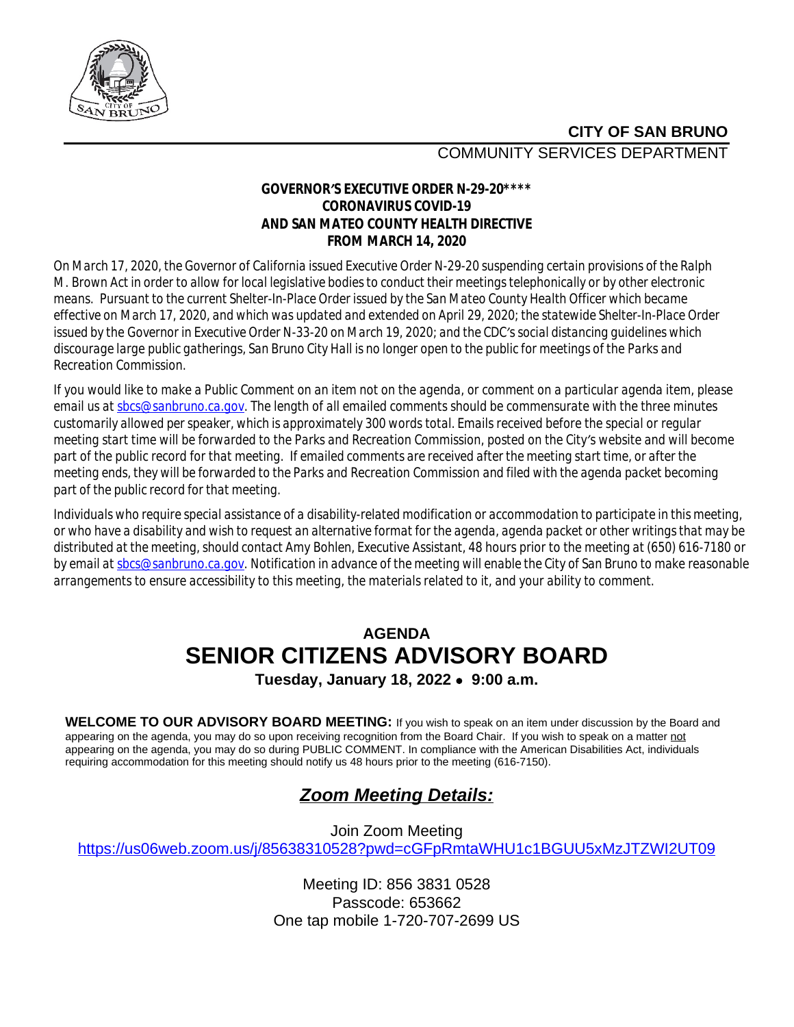

### **CITY OF SAN BRUNO** COMMUNITY SERVICES DEPARTMENT

### *GOVERNOR'S EXECUTIVE ORDER N-29-20\*\*\*\* CORONAVIRUS COVID-19 AND SAN MATEO COUNTY HEALTH DIRECTIVE FROM MARCH 14, 2020*

On March 17, 2020, the Governor of California issued Executive Order N-29-20 suspending certain provisions of the Ralph M. Brown Act in order to allow for local legislative bodies to conduct their meetings telephonically or by other electronic *means. Pursuant to the current Shelter-In-Place Order issued by the San Mateo County Health Officer which became* effective on March 17, 2020, and which was updated and extended on April 29, 2020; the statewide Shelter-In-Place Order issued by the Governor in Executive Order N-33-20 on March 19, 2020; and the CDC's social distancing quidelines which discourage large public gatherings, San Bruno City Hall is no longer open to the public for meetings of the Parks and *Recreation Commission.*

*If you would like to make a Public Comment on an item not on the agenda, or comment on a particular agenda item, please email us at [sbcs@sanbruno.ca.gov](mailto:sbcs@sanbruno.ca.gov). The length of all emailed comments should be commensurate with the three minutes customarily allowed perspeaker, which is approximately 300 words total. Emails received before the special or regular meeting start time will be forwarded to the Parks and Recreation Commission, posted on the City's website and will become part of the public record for that meeting. If emailed comments are received after the meeting start time, or after the meeting ends, they will be forwarded to the Parks and Recreation Commission and filed with the agenda packet becoming part of the public record for that meeting.*

Individuals who require special assistance of a disability-related modification or accommodation to participate in this meeting, or who have a disability and wish to request an alternative format for the agenda, agenda packet or other writings that may be *distributed at the meeting,should contact Amy Bohlen, Executive Assistant, 48 hours prior to the meeting at (650) 616-7180 or* by email at [sbcs@sanbruno.ca.gov](mailto:sbcs@sanbruno.ca.gov). Notification in advance of the meeting will enable the City of San Bruno to make reasonable *arrangements to ensure accessibility to this meeting, the materials related to it, and your ability to comment.* 

## **AGENDA SENIOR CITIZENS ADVISORY BOARD**

**Tuesday, January 18, 2022** · **9:00 a.m.**

**WELCOME TO OUR ADVISORY BOARD MEETING:** If you wish to speak on an item under discussion by the Board and appearing on the agenda, you may do so upon receiving recognition from the Board Chair. If you wish to speak on a matter not appearing on the agenda, you may do so during PUBLIC COMMENT. In compliance with the American Disabilities Act, individuals requiring accommodation for this meeting should notify us 48 hours prior to the meeting (616-7150).

## *Zoom Meeting Details:*

Join Zoom Meeting <https://us06web.zoom.us/j/85638310528?pwd=cGFpRmtaWHU1c1BGUU5xMzJTZWI2UT09>

> Meeting ID: 856 3831 0528 Passcode: 653662 One tap mobile 1-720-707-2699 US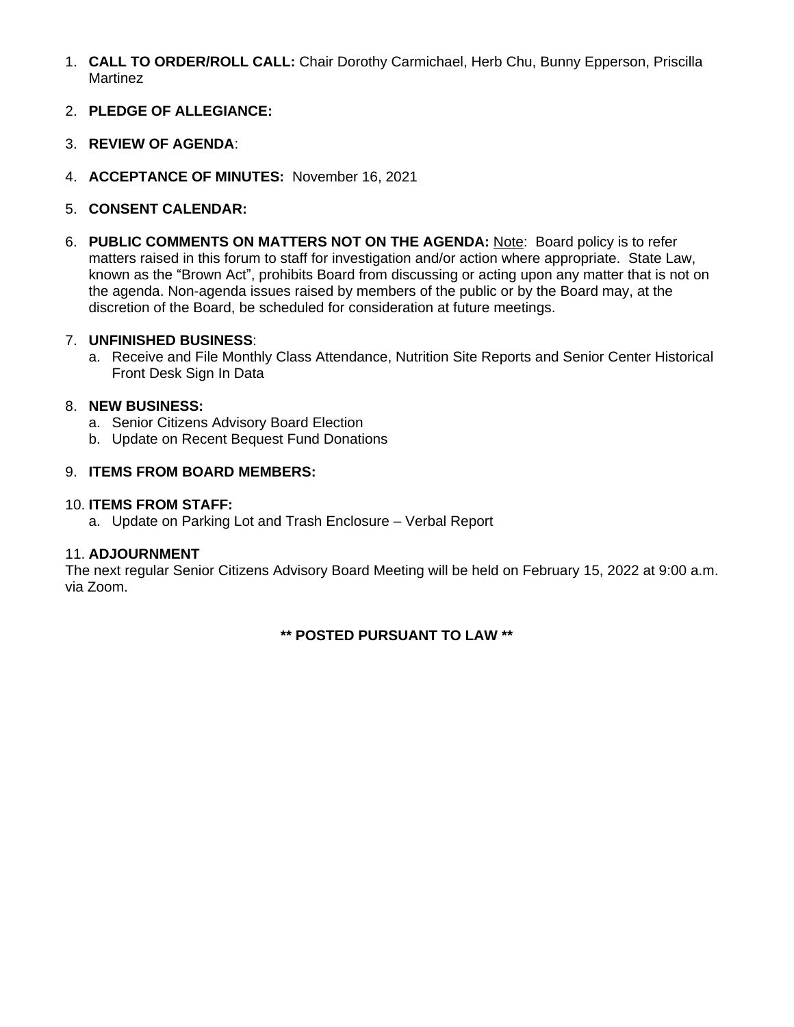- 1. **CALL TO ORDER/ROLL CALL:** Chair Dorothy Carmichael, Herb Chu, Bunny Epperson, Priscilla **Martinez**
- 2. **PLEDGE OF ALLEGIANCE:**
- 3. **REVIEW OF AGENDA**:
- 4. **ACCEPTANCE OF MINUTES:** November 16, 2021
- 5. **CONSENT CALENDAR:**
- 6. **PUBLIC COMMENTS ON MATTERS NOT ON THE AGENDA:** Note: Board policy is to refer matters raised in this forum to staff for investigation and/or action where appropriate. State Law, known as the "Brown Act", prohibits Board from discussing or acting upon any matter that is not on the agenda. Non-agenda issues raised by members of the public or by the Board may, at the discretion of the Board, be scheduled for consideration at future meetings.

### 7. **UNFINISHED BUSINESS**:

a. Receive and File Monthly Class Attendance, Nutrition Site Reports and Senior Center Historical Front Desk Sign In Data

### 8. **NEW BUSINESS:**

- a. Senior Citizens Advisory Board Election
- b. Update on Recent Bequest Fund Donations

### 9. **ITEMS FROM BOARD MEMBERS:**

### 10. **ITEMS FROM STAFF:**

a. Update on Parking Lot and Trash Enclosure – Verbal Report

### 11. **ADJOURNMENT**

The next regular Senior Citizens Advisory Board Meeting will be held on February 15, 2022 at 9:00 a.m. via Zoom.

**\*\* POSTED PURSUANT TO LAW \*\***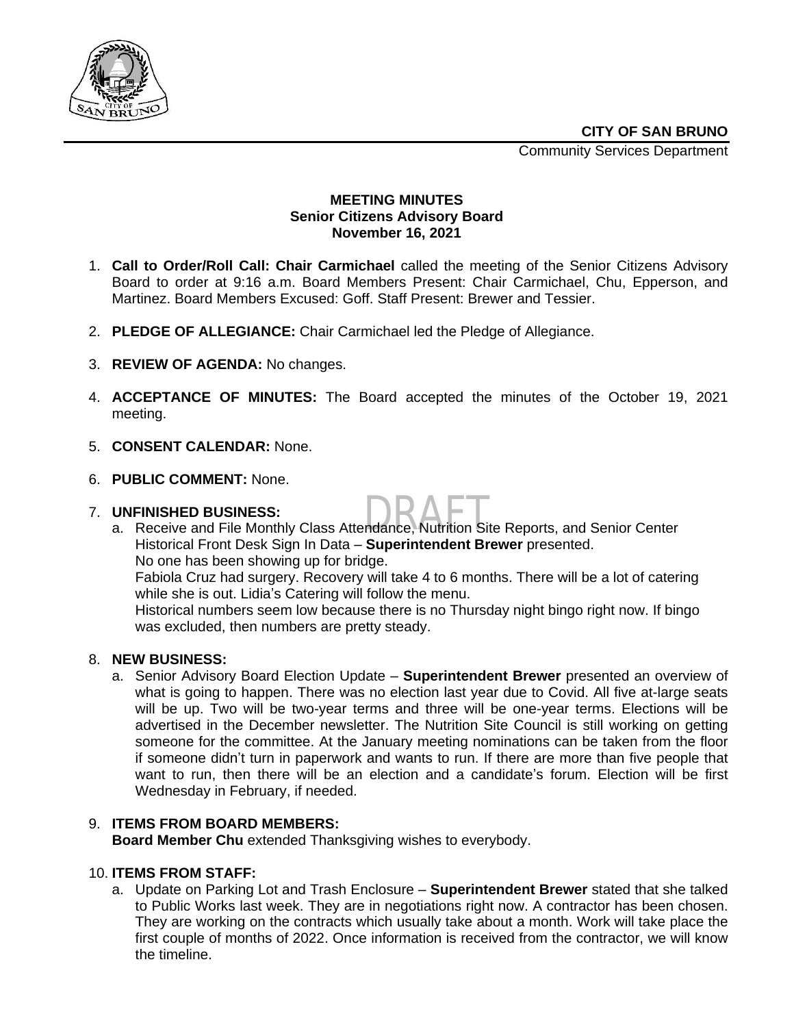Community Services Department



### **MEETING MINUTES Senior Citizens Advisory Board November 16, 2021**

- 1. **Call to Order/Roll Call: Chair Carmichael** called the meeting of the Senior Citizens Advisory Board to order at 9:16 a.m. Board Members Present: Chair Carmichael, Chu, Epperson, and Martinez. Board Members Excused: Goff. Staff Present: Brewer and Tessier.
- 2. **PLEDGE OF ALLEGIANCE:** Chair Carmichael led the Pledge of Allegiance.
- 3. **REVIEW OF AGENDA:** No changes.
- 4. **ACCEPTANCE OF MINUTES:** The Board accepted the minutes of the October 19, 2021 meeting.
- 5. **CONSENT CALENDAR:** None.
- 6. **PUBLIC COMMENT:** None.

#### 7. **UNFINISHED BUSINESS:**

UNFINISHED BUSINESS:<br>a. Receive and File Monthly Class Attendance, Nutrition Site Reports, and Senior Center Historical Front Desk Sign In Data – **Superintendent Brewer** presented. No one has been showing up for bridge.

Fabiola Cruz had surgery. Recovery will take 4 to 6 months. There will be a lot of catering while she is out. Lidia's Catering will follow the menu.

Historical numbers seem low because there is no Thursday night bingo right now. If bingo was excluded, then numbers are pretty steady.

### 8. **NEW BUSINESS:**

a. Senior Advisory Board Election Update – **Superintendent Brewer** presented an overview of what is going to happen. There was no election last year due to Covid. All five at-large seats will be up. Two will be two-year terms and three will be one-year terms. Elections will be advertised in the December newsletter. The Nutrition Site Council is still working on getting someone for the committee. At the January meeting nominations can be taken from the floor if someone didn't turn in paperwork and wants to run. If there are more than five people that want to run, then there will be an election and a candidate's forum. Election will be first Wednesday in February, if needed.

### 9. **ITEMS FROM BOARD MEMBERS:**

**Board Member Chu** extended Thanksgiving wishes to everybody.

### 10. **ITEMS FROM STAFF:**

a. Update on Parking Lot and Trash Enclosure – **Superintendent Brewer** stated that she talked to Public Works last week. They are in negotiations right now. A contractor has been chosen. They are working on the contracts which usually take about a month. Work will take place the first couple of months of 2022. Once information is received from the contractor, we will know the timeline.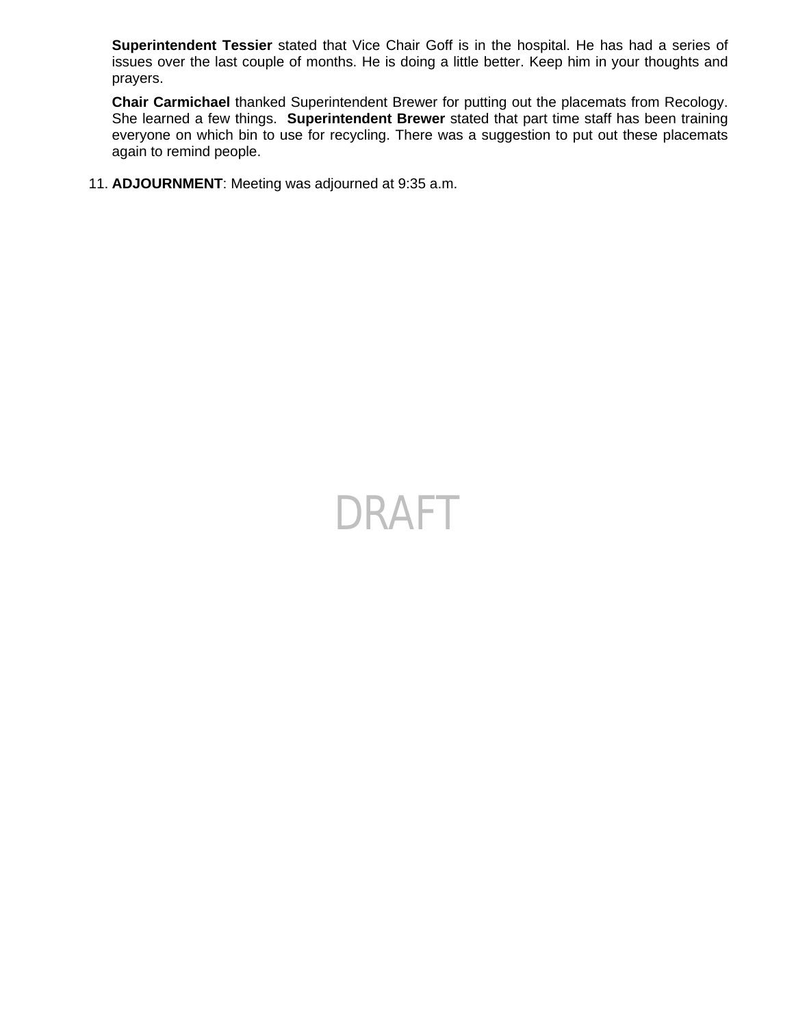**Superintendent Tessier** stated that Vice Chair Goff is in the hospital. He has had a series of issues over the last couple of months. He is doing a little better. Keep him in your thoughts and prayers.

**Chair Carmichael** thanked Superintendent Brewer for putting out the placemats from Recology. She learned a few things. **Superintendent Brewer** stated that part time staff has been training everyone on which bin to use for recycling. There was a suggestion to put out these placemats again to remind people.

11. **ADJOURNMENT**: Meeting was adjourned at 9:35 a.m.

# DRAFT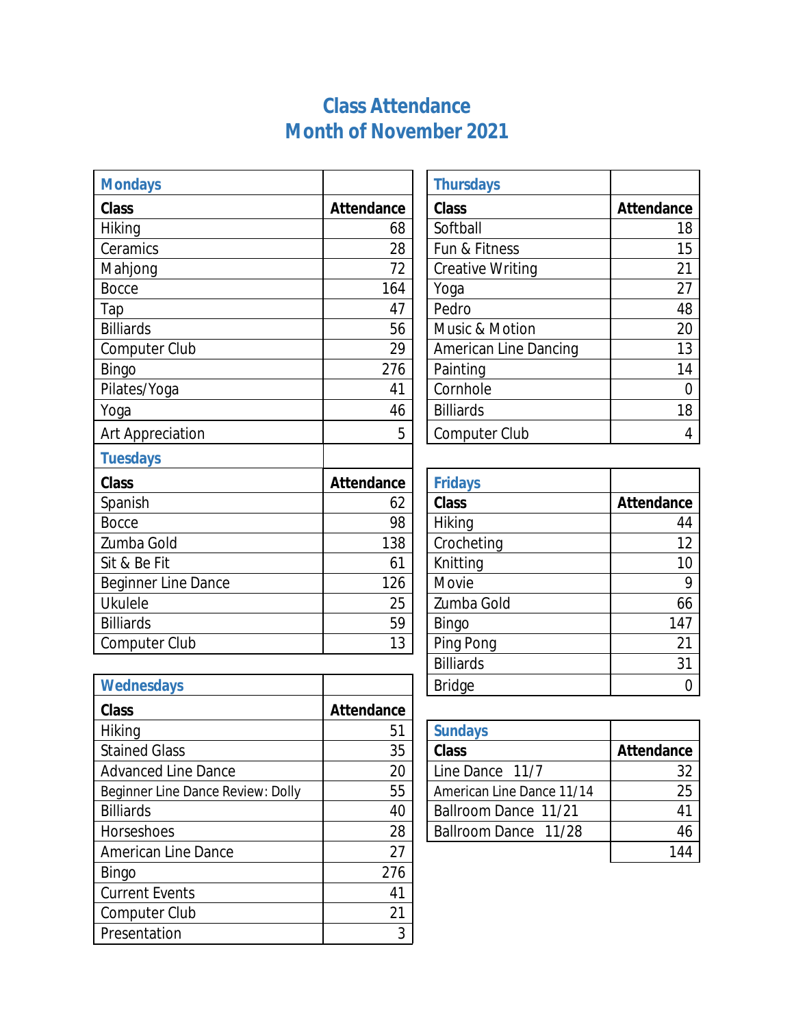## **Class Attendance Month of November 2021**

| <b>Mondays</b>             |                   | <b>Thursdays</b>             |                   |
|----------------------------|-------------------|------------------------------|-------------------|
| <b>Class</b>               | <b>Attendance</b> | <b>Class</b>                 | Attendance        |
| Hiking                     | 68                | Softball                     | 18                |
| Ceramics                   | 28                | Fun & Fitness                | 15                |
| Mahjong                    | 72                | <b>Creative Writing</b>      | 21                |
| <b>Bocce</b>               | 164               | Yoga                         | 27                |
| Tap                        | 47                | Pedro                        | 48                |
| <b>Billiards</b>           | 56                | Music & Motion               | 20                |
| Computer Club              | 29                | <b>American Line Dancing</b> | 13                |
| Bingo                      | 276               | Painting                     | 14                |
| Pilates/Yoga               | 41                | Cornhole                     | $\overline{0}$    |
| Yoga                       | 46                | <b>Billiards</b>             | 18                |
| Art Appreciation           | 5                 | Computer Club                | $\overline{4}$    |
| <b>Tuesdays</b>            |                   |                              |                   |
| <b>Class</b>               | <b>Attendance</b> | <b>Fridays</b>               |                   |
| Spanish                    | 62                | <b>Class</b>                 | <b>Attendance</b> |
| <b>Bocce</b>               | 98                | Hiking                       | 44                |
| Zumba Gold                 | 138               | Crocheting                   | 12                |
| Sit & Be Fit               | 61                | Knitting                     | 10                |
| <b>Beginner Line Dance</b> | 126               | Movie                        | 9                 |
| <b>Ukulele</b>             | 25                | Zumba Gold                   | 66                |
| <b>Billiards</b>           | 59                | Bingo                        | 147               |
| Computer Club              | 13                | Ping Pong                    | 21                |
|                            |                   |                              |                   |

| <b>Thursdays</b>        |                   |
|-------------------------|-------------------|
| <b>Class</b>            | <b>Attendance</b> |
| Softball                | 18                |
| Fun & Fitness           | 15                |
| <b>Creative Writing</b> | 21                |
| Yoga                    | 27                |
| Pedro                   | 48                |
| Music & Motion          | 20                |
| American Line Dancing   | 13                |
| Painting                | 14                |
| Cornhole                |                   |
| <b>Billiards</b>        | 18                |
| Computer Club           |                   |

| <b>Fridays</b>   |                   |
|------------------|-------------------|
| <b>Class</b>     | <b>Attendance</b> |
| Hiking           | 44                |
| Crocheting       | 12                |
| Knitting         | 10                |
| Movie            | 9                 |
| Zumba Gold       | 66                |
| Bingo            | 147               |
| Ping Pong        | 21                |
| <b>Billiards</b> | 31                |
| <b>Bridge</b>    |                   |

| <b>Wednesdays</b>                 |            | <b>Bridge</b>             | $\overline{0}$    |
|-----------------------------------|------------|---------------------------|-------------------|
| <b>Class</b>                      | Attendance |                           |                   |
| Hiking                            | 51         | <b>Sundays</b>            |                   |
| <b>Stained Glass</b>              | 35         | <b>Class</b>              | <b>Attendance</b> |
| <b>Advanced Line Dance</b>        | 20         | Line Dance 11/7           | 32                |
| Beginner Line Dance Review: Dolly | 55         | American Line Dance 11/14 | 25                |
| <b>Billiards</b>                  | 40         | Ballroom Dance 11/21      | 41                |
| Horseshoes                        | 28         | Ballroom Dance 11/28      | 46                |
| <b>American Line Dance</b>        | 27         |                           | 144               |
| <b>Bingo</b>                      | 276        |                           |                   |
| <b>Current Events</b>             | 41         |                           |                   |
| Computer Club                     | 21         |                           |                   |
| Presentation                      | 3          |                           |                   |

| <b>Sundays</b>            |            |
|---------------------------|------------|
| <b>Class</b>              | Attendance |
| Line Dance 11/7           | 32         |
| American Line Dance 11/14 | 25         |
| Ballroom Dance 11/21      | 41         |
| Ballroom Dance 11/28      | 46         |
|                           |            |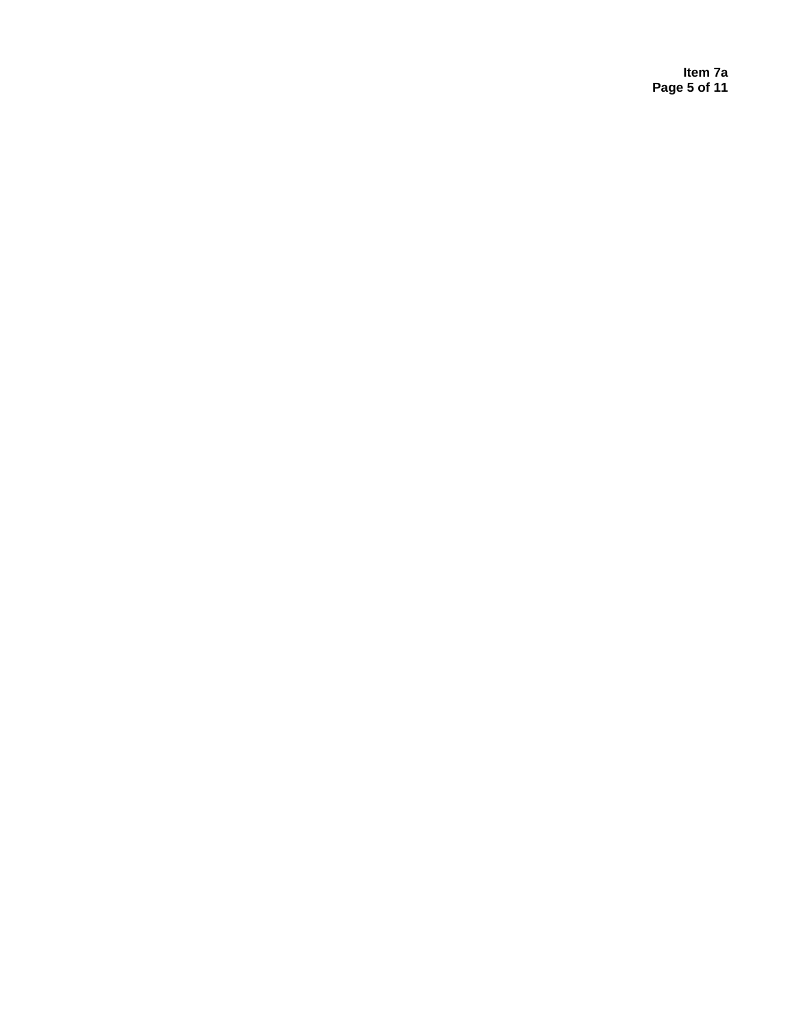**Item 7a Page 5 of 11**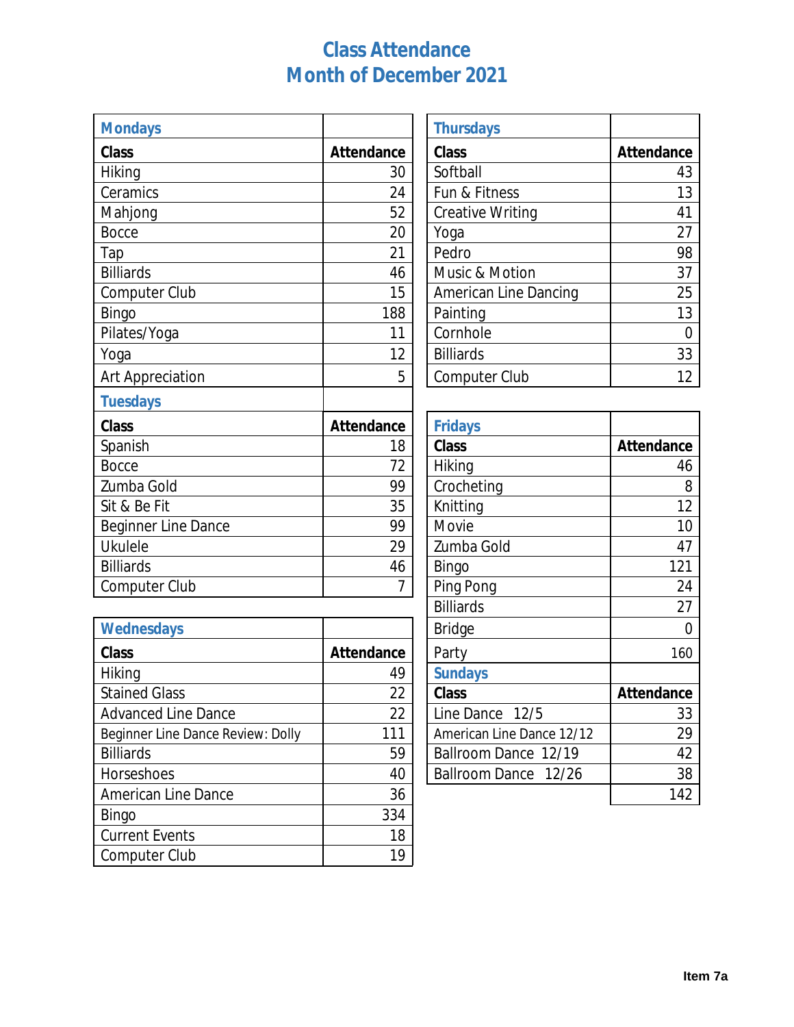## **Class Attendance Month of December 2021**

| <b>Mondays</b>             |                   | <b>Thursdays</b>             |                   |
|----------------------------|-------------------|------------------------------|-------------------|
| <b>Class</b>               | <b>Attendance</b> | <b>Class</b>                 | Attendance        |
| Hiking                     | 30                | Softball                     | 43                |
| Ceramics                   | 24                | Fun & Fitness                | 13                |
| Mahjong                    | 52                | <b>Creative Writing</b>      | 41                |
| <b>Bocce</b>               | 20                | Yoga                         | 27                |
| Tap                        | 21                | Pedro                        | 98                |
| <b>Billiards</b>           | 46                | Music & Motion               | 37                |
| Computer Club              | 15                | <b>American Line Dancing</b> | 25                |
| Bingo                      | 188               | Painting                     | 13                |
| Pilates/Yoga               | 11                | Cornhole                     | $\overline{0}$    |
| Yoga                       | 12                | <b>Billiards</b>             | 33                |
| <b>Art Appreciation</b>    | 5                 | Computer Club                | 12                |
| <b>Tuesdays</b>            |                   |                              |                   |
| <b>Class</b>               | <b>Attendance</b> | <b>Fridays</b>               |                   |
| Spanish                    | 18                | <b>Class</b>                 | <b>Attendance</b> |
| <b>Bocce</b>               | 72                | Hiking                       | 46                |
| Zumba Gold                 | 99                | Crocheting                   | 8                 |
| Sit & Be Fit               | 35                | Knitting                     | 12                |
| <b>Beginner Line Dance</b> | 99                | Movie                        | 10                |
| <b>Ukulele</b>             | 29                | Zumba Gold                   | 47                |
| <b>Billiards</b>           | 46                | Bingo                        | 121               |
| Computer Club              | 7                 | Ping Pong                    | 24                |

| <b>Wednesdays</b>                 |                   | <b>Bridge</b>             | $\overline{0}$ |
|-----------------------------------|-------------------|---------------------------|----------------|
| <b>Class</b>                      | <b>Attendance</b> | Party                     | 160            |
| <b>Hiking</b>                     | 49                | <b>Sundays</b>            |                |
| <b>Stained Glass</b>              | 22                | <b>Class</b>              | Attendance     |
| <b>Advanced Line Dance</b>        | 22                | Line Dance 12/5           | 33             |
| Beginner Line Dance Review: Dolly | 111               | American Line Dance 12/12 | 29             |
| <b>Billiards</b>                  | 59                | Ballroom Dance 12/19      | 42             |
| <b>Horseshoes</b>                 | 40                | Ballroom Dance 12/26      | 38             |
| <b>American Line Dance</b>        | 36                |                           | 142            |
| <b>Bingo</b>                      | 334               |                           |                |
| <b>Current Events</b>             | 18                |                           |                |
| Computer Club                     | 19                |                           |                |

| <b>Thursdays</b>        |                   |
|-------------------------|-------------------|
| <b>Class</b>            | <b>Attendance</b> |
| Softball                | 43                |
| Fun & Fitness           | 13                |
| <b>Creative Writing</b> | 41                |
| Yoga                    | 27                |
| Pedro                   | 98                |
| Music & Motion          | 37                |
| American Line Dancing   | 25                |
| Painting                | 13                |
| Cornhole                |                   |
| <b>Billiards</b>        | 33                |
| Computer Club           | 12                |

| <b>Fridays</b>            |                   |
|---------------------------|-------------------|
| <b>Class</b>              | <b>Attendance</b> |
| Hiking                    | 46                |
| Crocheting                | 8                 |
| Knitting                  | 12                |
| Movie                     | 10                |
| Zumba Gold                | 47                |
| Bingo                     | 121               |
| Ping Pong                 | 24                |
| <b>Billiards</b>          | 27                |
| Bridge                    |                   |
| Party                     | 160               |
| <b>Sundays</b>            |                   |
| <b>Class</b>              | <b>Attendance</b> |
| Line Dance 12/5           | 33                |
| American Line Dance 12/12 | 29                |
| Ballroom Dance 12/19      | 42                |
| Ballroom Dance 12/26      | 38                |
|                           | 142               |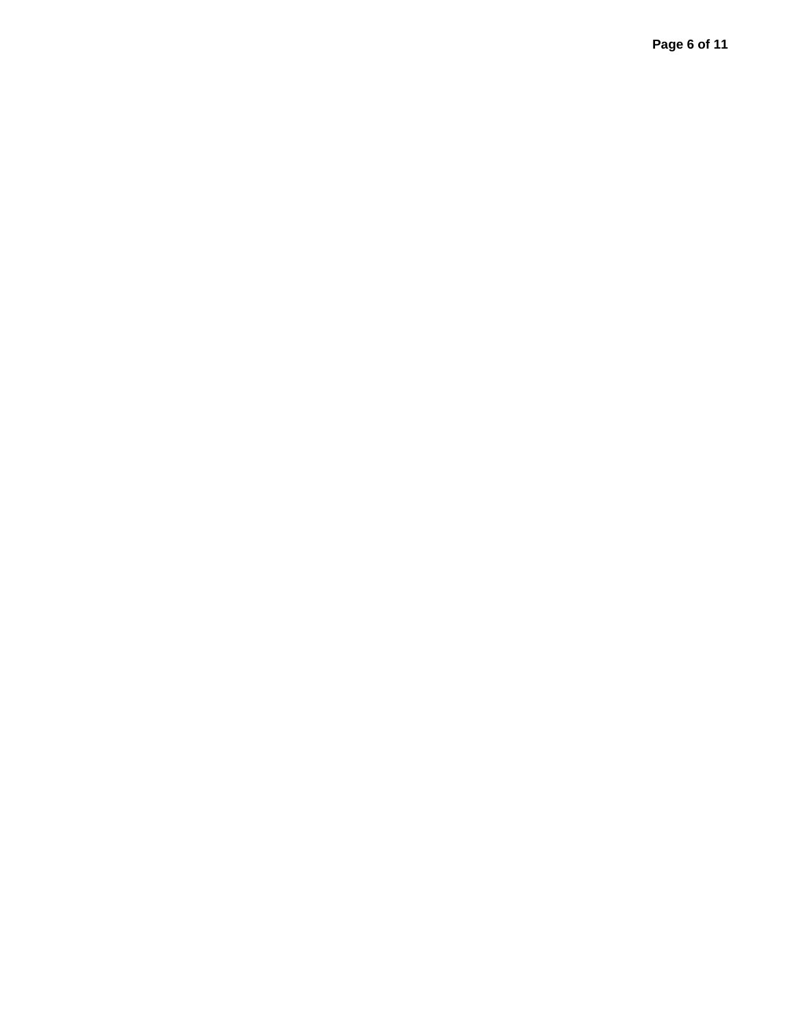**Page 6 of 11**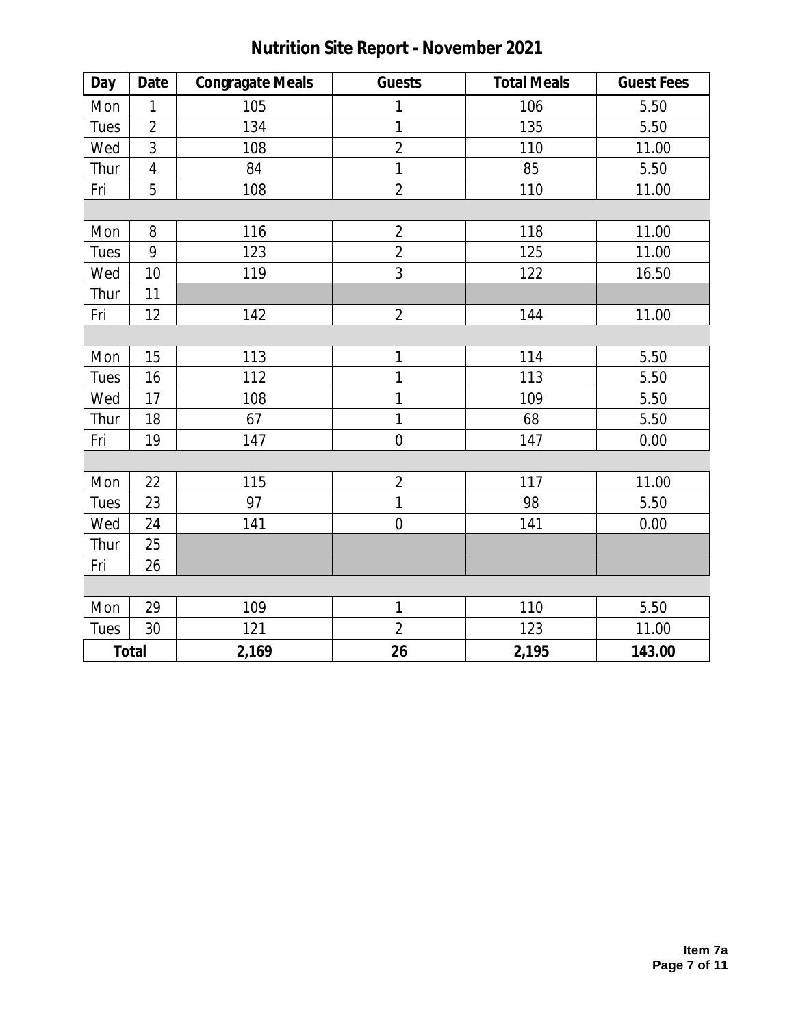| <b>Day</b> | Date           | <b>Congragate Meals</b> | <b>Guests</b>    | <b>Total Meals</b> | <b>Guest Fees</b> |
|------------|----------------|-------------------------|------------------|--------------------|-------------------|
| Mon        | 1              | 105                     | 1                | 106                | 5.50              |
| Tues       | $\overline{2}$ | 134                     | 135<br>1         |                    | 5.50              |
| Wed        | $\mathfrak{Z}$ | 108                     | $\overline{2}$   | 110                | 11.00             |
| Thur       | $\overline{4}$ | 84                      | $\mathbf{1}$     | 85                 | 5.50              |
| Fri        | 5              | 108                     | $\overline{2}$   | 110                | 11.00             |
|            |                |                         |                  |                    |                   |
| Mon        | 8              | 116                     | $\overline{2}$   | 118                | 11.00             |
| Tues       | 9              | 123                     | $\overline{2}$   | 125                | 11.00             |
| Wed        | 10             | 119                     | $\overline{3}$   | 122                | 16.50             |
| Thur       | 11             |                         |                  |                    |                   |
| Fri        | 12             | 142                     | $\overline{2}$   | 144                | 11.00             |
|            |                |                         |                  |                    |                   |
| Mon        | 15             | 113                     | 1                | 114                | 5.50              |
| Tues       | 16             | 112                     | 1                | 113                | 5.50              |
| Wed        | 17             | 108                     | 1                | 109                | 5.50              |
| Thur       | 18             | 67                      | 1                | 68                 | 5.50              |
| Fri        | 19             | 147                     | $\mathbf 0$      | 147                | 0.00              |
|            |                |                         |                  |                    |                   |
| Mon        | 22             | 115                     | $\overline{2}$   | 117                | 11.00             |
| Tues       | 23             | 97                      | 1                | 98                 | 5.50              |
| Wed        | 24             | 141                     | $\boldsymbol{0}$ | 141                | 0.00              |
| Thur       | 25             |                         |                  |                    |                   |
| Fri        | 26             |                         |                  |                    |                   |
|            |                |                         |                  |                    |                   |
| Mon        | 29             | 109                     | 1                | 110                | 5.50              |
| Tues       | 30             | 121                     | $\overline{2}$   | 123                | 11.00             |
|            | <b>Total</b>   | 2,169                   | 26               | 2,195              | 143.00            |

## **Nutrition Site Report - November 2021**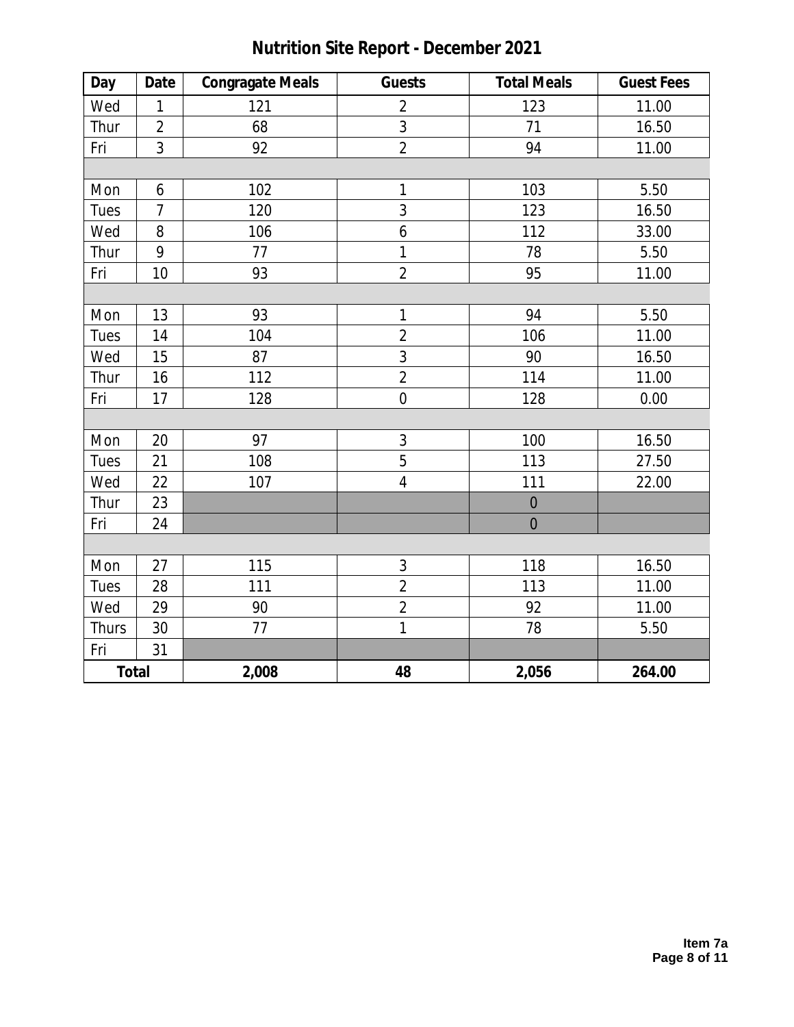| <b>Day</b>   | <b>Date</b>      | <b>Congragate Meals</b> | <b>Guests</b>    | <b>Total Meals</b> | <b>Guest Fees</b> |  |  |  |
|--------------|------------------|-------------------------|------------------|--------------------|-------------------|--|--|--|
| Wed          | 1                | 121                     | $\overline{2}$   | 123                | 11.00             |  |  |  |
| Thur         | $\overline{2}$   | 68                      | $\overline{3}$   | 71                 | 16.50             |  |  |  |
| Fri          | 3                | 92                      | $\overline{2}$   | 94                 | 11.00             |  |  |  |
|              |                  |                         |                  |                    |                   |  |  |  |
| Mon          | $\boldsymbol{6}$ | 102                     | 1                | 103                | 5.50              |  |  |  |
| Tues         | $\overline{7}$   | 120                     | $\overline{3}$   | 123                | 16.50             |  |  |  |
| Wed          | 8                | 106                     | 6                | 112                | 33.00             |  |  |  |
| Thur         | 9                | 77                      | $\mathbf{1}$     | 78                 | 5.50              |  |  |  |
| Fri          | 10               | 93                      | $\overline{2}$   | 95                 | 11.00             |  |  |  |
|              |                  |                         |                  |                    |                   |  |  |  |
| Mon          | 13               | 93                      | 1                | 94                 | 5.50              |  |  |  |
| Tues         | 14               | 104                     | $\overline{2}$   | 106                | 11.00             |  |  |  |
| Wed          | 15               | 87                      | $\overline{3}$   | 90                 | 16.50             |  |  |  |
| Thur         | 16               | 112                     | $\overline{2}$   | 114                | 11.00             |  |  |  |
| Fri          | 17               | 128                     | $\boldsymbol{0}$ | 128                | 0.00              |  |  |  |
|              |                  |                         |                  |                    |                   |  |  |  |
| Mon          | 20               | 97                      | $\mathfrak{Z}$   | 100                | 16.50             |  |  |  |
| Tues         | 21               | 108                     | 5                | 113                | 27.50             |  |  |  |
| Wed          | 22               | 107                     | $\overline{4}$   | 111                | 22.00             |  |  |  |
| Thur         | 23               |                         |                  | $\boldsymbol{0}$   |                   |  |  |  |
| Fri          | 24               |                         |                  | $\boldsymbol{0}$   |                   |  |  |  |
|              |                  |                         |                  |                    |                   |  |  |  |
| Mon          | 27               | 115                     | $\mathfrak{Z}$   | 118                | 16.50             |  |  |  |
| Tues         | 28               | 111                     | $\overline{2}$   | 113                | 11.00             |  |  |  |
| Wed          | 29               | 90                      | $\overline{2}$   | 92                 | 11.00             |  |  |  |
| Thurs        | 30               | 77                      | $\mathbf{1}$     | 78                 | 5.50              |  |  |  |
| Fri          | 31               |                         |                  |                    |                   |  |  |  |
| <b>Total</b> |                  | 2,008                   | 48               | 2,056              | 264.00            |  |  |  |

## **Nutrition Site Report - December 2021**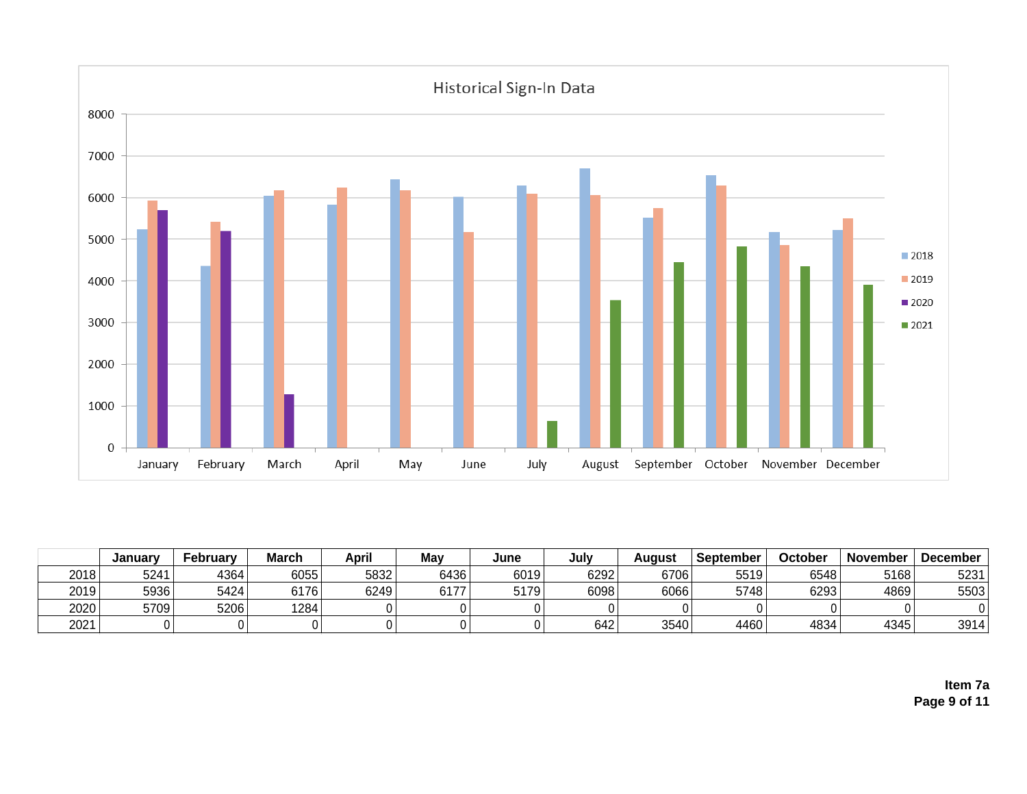

|      | <b>January</b> | <b>February</b> | <b>March</b> | April | May  | June | July | August | September | October | <b>November</b> | <b>December</b> |
|------|----------------|-----------------|--------------|-------|------|------|------|--------|-----------|---------|-----------------|-----------------|
| 2018 | 5241           | 4364            | 6055         | 5832  | 6436 | 6019 | 6292 | 6706   | 5519      | 6548    | 5168            | 5231            |
| 2019 | 5936           | 5424            | 6176         | 6249  | 6177 | 5179 | 6098 | 6066   | 5748      | 6293    | 4869            | 5503            |
| 2020 | 5709           | 5206            | 1284         |       |      |      |      |        |           |         |                 |                 |
| 2021 |                |                 |              |       |      |      | 642  | 3540   | 4460      | 4834    | 4345            | 3914            |

**Item 7a Page 9 of 11**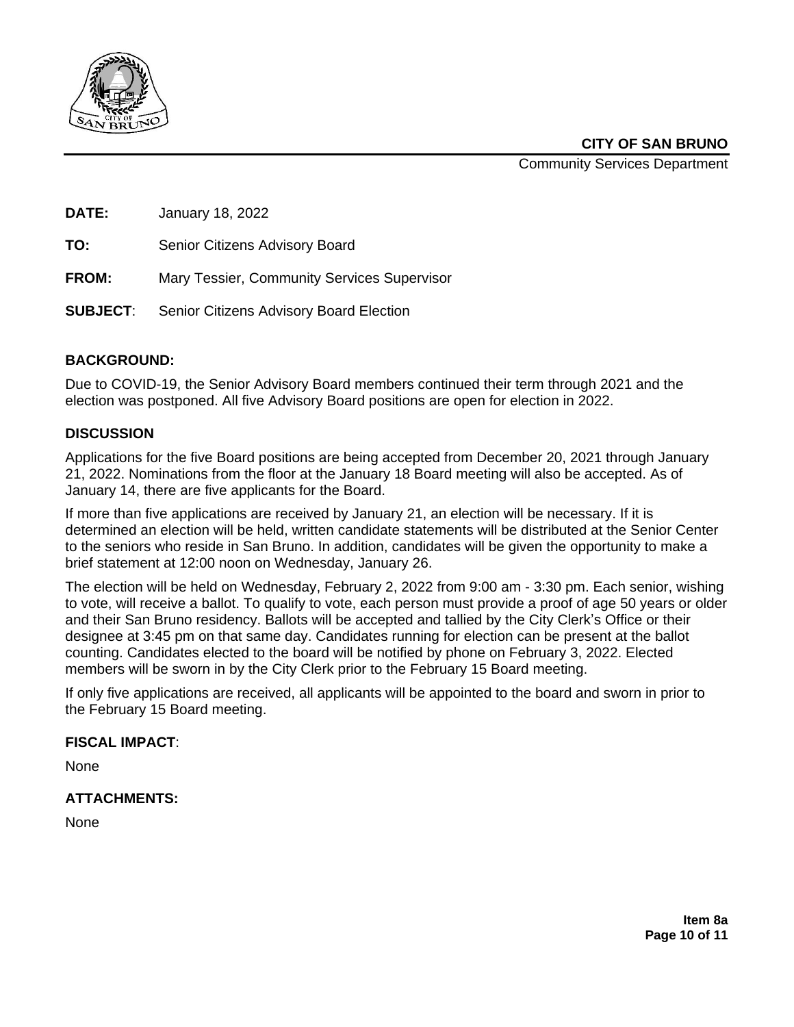

**CITY OF SAN BRUNO** Community Services Department

**DATE:** January 18, 2022

**TO:** Senior Citizens Advisory Board

**FROM:** Mary Tessier, Community Services Supervisor

**SUBJECT**: Senior Citizens Advisory Board Election

### **BACKGROUND:**

Due to COVID-19, the Senior Advisory Board members continued their term through 2021 and the election was postponed. All five Advisory Board positions are open for election in 2022.

### **DISCUSSION**

Applications for the five Board positions are being accepted from December 20, 2021 through January 21, 2022. Nominations from the floor at the January 18 Board meeting will also be accepted. As of January 14, there are five applicants for the Board.

If more than five applications are received by January 21, an election will be necessary. If it is determined an election will be held, written candidate statements will be distributed at the Senior Center to the seniors who reside in San Bruno. In addition, candidates will be given the opportunity to make a brief statement at 12:00 noon on Wednesday, January 26.

The election will be held on Wednesday, February 2, 2022 from 9:00 am - 3:30 pm. Each senior, wishing to vote, will receive a ballot. To qualify to vote, each person must provide a proof of age 50 years or older and their San Bruno residency. Ballots will be accepted and tallied by the City Clerk's Office or their designee at 3:45 pm on that same day. Candidates running for election can be present at the ballot counting. Candidates elected to the board will be notified by phone on February 3, 2022. Elected members will be sworn in by the City Clerk prior to the February 15 Board meeting.

If only five applications are received, all applicants will be appointed to the board and sworn in prior to the February 15 Board meeting.

### **FISCAL IMPACT**:

None

### **ATTACHMENTS:**

None